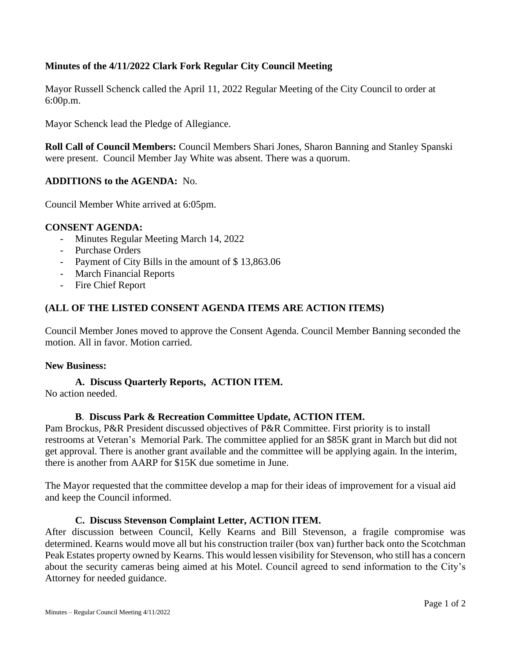# **Minutes of the 4/11/2022 Clark Fork Regular City Council Meeting**

Mayor Russell Schenck called the April 11, 2022 Regular Meeting of the City Council to order at 6:00p.m.

Mayor Schenck lead the Pledge of Allegiance.

**Roll Call of Council Members:** Council Members Shari Jones, Sharon Banning and Stanley Spanski were present. Council Member Jay White was absent. There was a quorum.

## **ADDITIONS to the AGENDA:** No.

Council Member White arrived at 6:05pm.

### **CONSENT AGENDA:**

- Minutes Regular Meeting March 14, 2022
- Purchase Orders
- Payment of City Bills in the amount of \$13,863.06
- March Financial Reports
- Fire Chief Report

## **(ALL OF THE LISTED CONSENT AGENDA ITEMS ARE ACTION ITEMS)**

Council Member Jones moved to approve the Consent Agenda. Council Member Banning seconded the motion. All in favor. Motion carried.

#### **New Business:**

# **A. Discuss Quarterly Reports, ACTION ITEM.**

No action needed.

### **B**. **Discuss Park & Recreation Committee Update, ACTION ITEM.**

Pam Brockus, P&R President discussed objectives of P&R Committee. First priority is to install restrooms at Veteran's Memorial Park. The committee applied for an \$85K grant in March but did not get approval. There is another grant available and the committee will be applying again. In the interim, there is another from AARP for \$15K due sometime in June.

The Mayor requested that the committee develop a map for their ideas of improvement for a visual aid and keep the Council informed.

### **C. Discuss Stevenson Complaint Letter, ACTION ITEM.**

After discussion between Council, Kelly Kearns and Bill Stevenson, a fragile compromise was determined. Kearns would move all but his construction trailer (box van) further back onto the Scotchman Peak Estates property owned by Kearns. This would lessen visibility for Stevenson, who still has a concern about the security cameras being aimed at his Motel. Council agreed to send information to the City's Attorney for needed guidance.